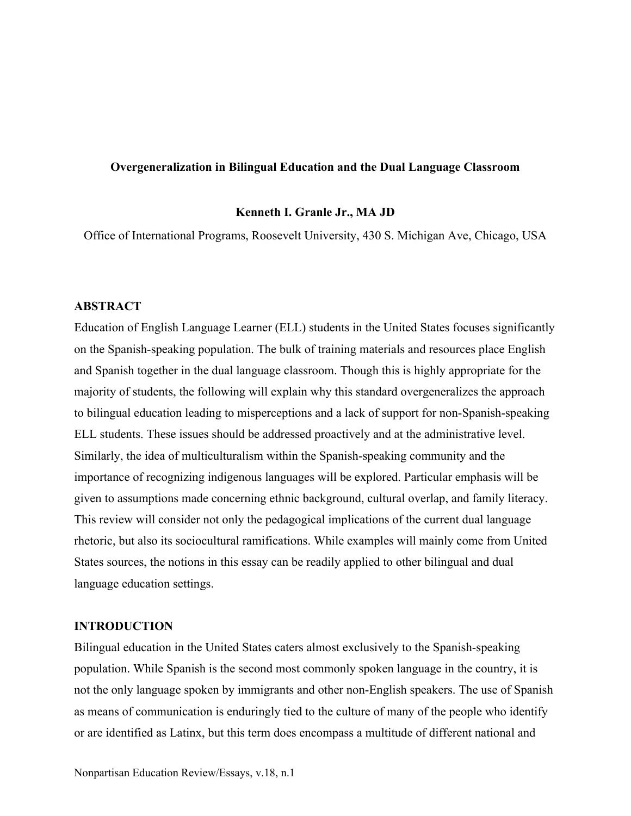# **Overgeneralization in Bilingual Education and the Dual Language Classroom**

#### **Kenneth I. Granle Jr., MA JD**

Office of International Programs, Roosevelt University, 430 S. Michigan Ave, Chicago, USA

# **ABSTRACT**

Education of English Language Learner (ELL) students in the United States focuses significantly on the Spanish-speaking population. The bulk of training materials and resources place English and Spanish together in the dual language classroom. Though this is highly appropriate for the majority of students, the following will explain why this standard overgeneralizes the approach to bilingual education leading to misperceptions and a lack of support for non-Spanish-speaking ELL students. These issues should be addressed proactively and at the administrative level. Similarly, the idea of multiculturalism within the Spanish-speaking community and the importance of recognizing indigenous languages will be explored. Particular emphasis will be given to assumptions made concerning ethnic background, cultural overlap, and family literacy. This review will consider not only the pedagogical implications of the current dual language rhetoric, but also its sociocultural ramifications. While examples will mainly come from United States sources, the notions in this essay can be readily applied to other bilingual and dual language education settings.

# **INTRODUCTION**

Bilingual education in the United States caters almost exclusively to the Spanish-speaking population. While Spanish is the second most commonly spoken language in the country, it is not the only language spoken by immigrants and other non-English speakers. The use of Spanish as means of communication is enduringly tied to the culture of many of the people who identify or are identified as Latinx, but this term does encompass a multitude of different national and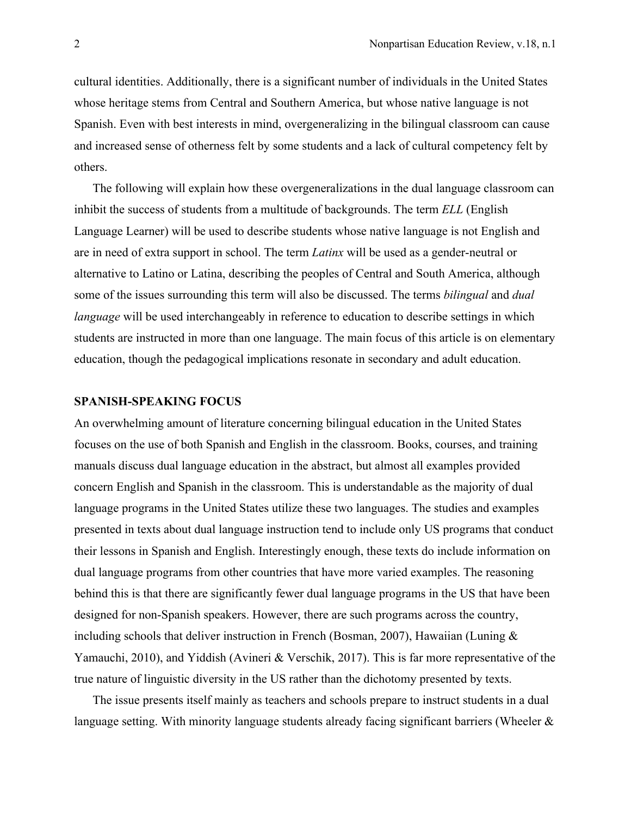cultural identities. Additionally, there is a significant number of individuals in the United States whose heritage stems from Central and Southern America, but whose native language is not Spanish. Even with best interests in mind, overgeneralizing in the bilingual classroom can cause and increased sense of otherness felt by some students and a lack of cultural competency felt by others.

The following will explain how these overgeneralizations in the dual language classroom can inhibit the success of students from a multitude of backgrounds. The term *ELL* (English Language Learner) will be used to describe students whose native language is not English and are in need of extra support in school. The term *Latinx* will be used as a gender-neutral or alternative to Latino or Latina, describing the peoples of Central and South America, although some of the issues surrounding this term will also be discussed. The terms *bilingual* and *dual language* will be used interchangeably in reference to education to describe settings in which students are instructed in more than one language. The main focus of this article is on elementary education, though the pedagogical implications resonate in secondary and adult education.

#### **SPANISH-SPEAKING FOCUS**

An overwhelming amount of literature concerning bilingual education in the United States focuses on the use of both Spanish and English in the classroom. Books, courses, and training manuals discuss dual language education in the abstract, but almost all examples provided concern English and Spanish in the classroom. This is understandable as the majority of dual language programs in the United States utilize these two languages. The studies and examples presented in texts about dual language instruction tend to include only US programs that conduct their lessons in Spanish and English. Interestingly enough, these texts do include information on dual language programs from other countries that have more varied examples. The reasoning behind this is that there are significantly fewer dual language programs in the US that have been designed for non-Spanish speakers. However, there are such programs across the country, including schools that deliver instruction in French (Bosman, 2007), Hawaiian (Luning & Yamauchi, 2010), and Yiddish (Avineri & Verschik, 2017). This is far more representative of the true nature of linguistic diversity in the US rather than the dichotomy presented by texts.

The issue presents itself mainly as teachers and schools prepare to instruct students in a dual language setting. With minority language students already facing significant barriers (Wheeler &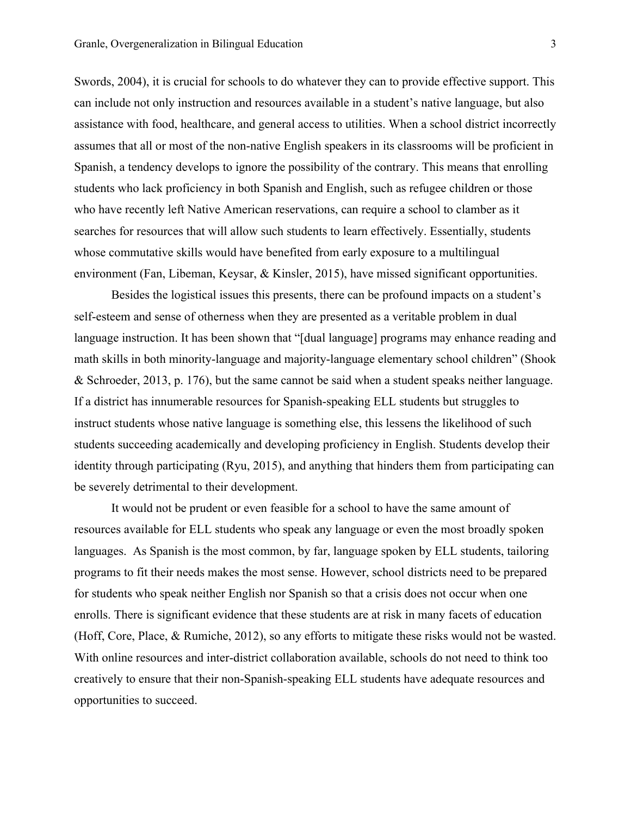Swords, 2004), it is crucial for schools to do whatever they can to provide effective support. This can include not only instruction and resources available in a student's native language, but also assistance with food, healthcare, and general access to utilities. When a school district incorrectly assumes that all or most of the non-native English speakers in its classrooms will be proficient in Spanish, a tendency develops to ignore the possibility of the contrary. This means that enrolling students who lack proficiency in both Spanish and English, such as refugee children or those who have recently left Native American reservations, can require a school to clamber as it searches for resources that will allow such students to learn effectively. Essentially, students whose commutative skills would have benefited from early exposure to a multilingual environment (Fan, Libeman, Keysar, & Kinsler, 2015), have missed significant opportunities.

Besides the logistical issues this presents, there can be profound impacts on a student's self-esteem and sense of otherness when they are presented as a veritable problem in dual language instruction. It has been shown that "[dual language] programs may enhance reading and math skills in both minority-language and majority-language elementary school children" (Shook & Schroeder, 2013, p. 176), but the same cannot be said when a student speaks neither language. If a district has innumerable resources for Spanish-speaking ELL students but struggles to instruct students whose native language is something else, this lessens the likelihood of such students succeeding academically and developing proficiency in English. Students develop their identity through participating (Ryu, 2015), and anything that hinders them from participating can be severely detrimental to their development.

It would not be prudent or even feasible for a school to have the same amount of resources available for ELL students who speak any language or even the most broadly spoken languages. As Spanish is the most common, by far, language spoken by ELL students, tailoring programs to fit their needs makes the most sense. However, school districts need to be prepared for students who speak neither English nor Spanish so that a crisis does not occur when one enrolls. There is significant evidence that these students are at risk in many facets of education (Hoff, Core, Place, & Rumiche, 2012), so any efforts to mitigate these risks would not be wasted. With online resources and inter-district collaboration available, schools do not need to think too creatively to ensure that their non-Spanish-speaking ELL students have adequate resources and opportunities to succeed.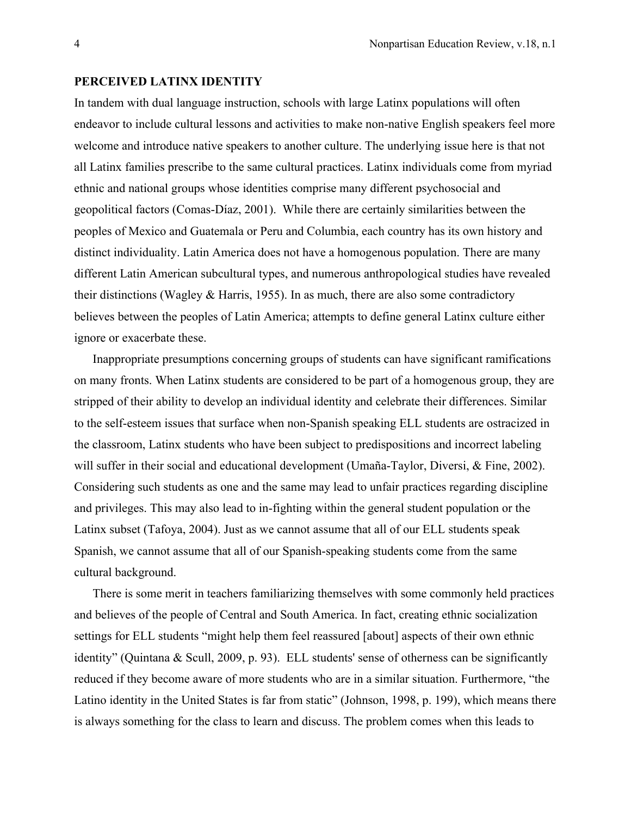### **PERCEIVED LATINX IDENTITY**

In tandem with dual language instruction, schools with large Latinx populations will often endeavor to include cultural lessons and activities to make non-native English speakers feel more welcome and introduce native speakers to another culture. The underlying issue here is that not all Latinx families prescribe to the same cultural practices. Latinx individuals come from myriad ethnic and national groups whose identities comprise many different psychosocial and geopolitical factors (Comas-Díaz, 2001). While there are certainly similarities between the peoples of Mexico and Guatemala or Peru and Columbia, each country has its own history and distinct individuality. Latin America does not have a homogenous population. There are many different Latin American subcultural types, and numerous anthropological studies have revealed their distinctions (Wagley & Harris, 1955). In as much, there are also some contradictory believes between the peoples of Latin America; attempts to define general Latinx culture either ignore or exacerbate these.

Inappropriate presumptions concerning groups of students can have significant ramifications on many fronts. When Latinx students are considered to be part of a homogenous group, they are stripped of their ability to develop an individual identity and celebrate their differences. Similar to the self-esteem issues that surface when non-Spanish speaking ELL students are ostracized in the classroom, Latinx students who have been subject to predispositions and incorrect labeling will suffer in their social and educational development (Umaña-Taylor, Diversi, & Fine, 2002). Considering such students as one and the same may lead to unfair practices regarding discipline and privileges. This may also lead to in-fighting within the general student population or the Latinx subset (Tafoya, 2004). Just as we cannot assume that all of our ELL students speak Spanish, we cannot assume that all of our Spanish-speaking students come from the same cultural background.

There is some merit in teachers familiarizing themselves with some commonly held practices and believes of the people of Central and South America. In fact, creating ethnic socialization settings for ELL students "might help them feel reassured [about] aspects of their own ethnic identity" (Quintana & Scull, 2009, p. 93). ELL students' sense of otherness can be significantly reduced if they become aware of more students who are in a similar situation. Furthermore, "the Latino identity in the United States is far from static" (Johnson, 1998, p. 199), which means there is always something for the class to learn and discuss. The problem comes when this leads to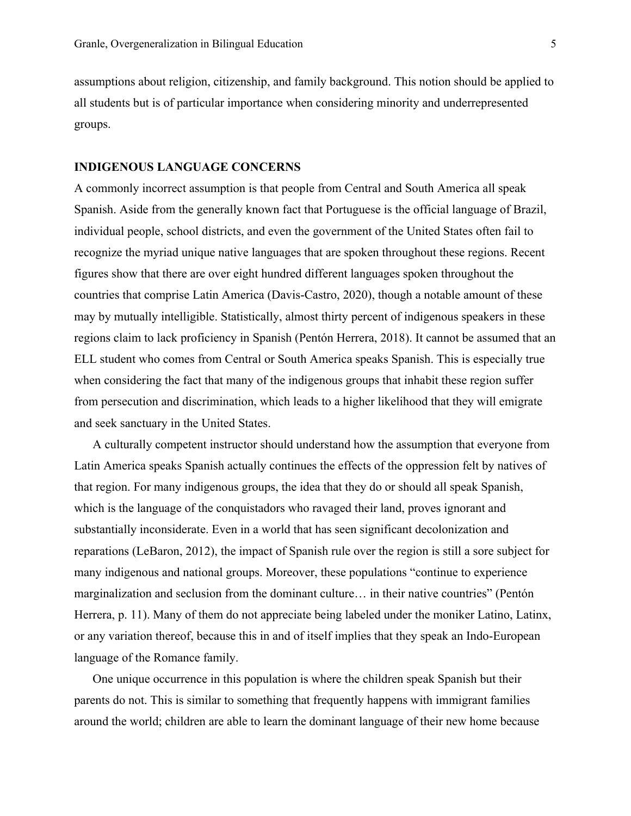assumptions about religion, citizenship, and family background. This notion should be applied to all students but is of particular importance when considering minority and underrepresented groups.

### **INDIGENOUS LANGUAGE CONCERNS**

A commonly incorrect assumption is that people from Central and South America all speak Spanish. Aside from the generally known fact that Portuguese is the official language of Brazil, individual people, school districts, and even the government of the United States often fail to recognize the myriad unique native languages that are spoken throughout these regions. Recent figures show that there are over eight hundred different languages spoken throughout the countries that comprise Latin America (Davis-Castro, 2020), though a notable amount of these may by mutually intelligible. Statistically, almost thirty percent of indigenous speakers in these regions claim to lack proficiency in Spanish (Pentón Herrera, 2018). It cannot be assumed that an ELL student who comes from Central or South America speaks Spanish. This is especially true when considering the fact that many of the indigenous groups that inhabit these region suffer from persecution and discrimination, which leads to a higher likelihood that they will emigrate and seek sanctuary in the United States.

A culturally competent instructor should understand how the assumption that everyone from Latin America speaks Spanish actually continues the effects of the oppression felt by natives of that region. For many indigenous groups, the idea that they do or should all speak Spanish, which is the language of the conquistadors who ravaged their land, proves ignorant and substantially inconsiderate. Even in a world that has seen significant decolonization and reparations (LeBaron, 2012), the impact of Spanish rule over the region is still a sore subject for many indigenous and national groups. Moreover, these populations "continue to experience marginalization and seclusion from the dominant culture… in their native countries" (Pentón Herrera, p. 11). Many of them do not appreciate being labeled under the moniker Latino, Latinx, or any variation thereof, because this in and of itself implies that they speak an Indo-European language of the Romance family.

One unique occurrence in this population is where the children speak Spanish but their parents do not. This is similar to something that frequently happens with immigrant families around the world; children are able to learn the dominant language of their new home because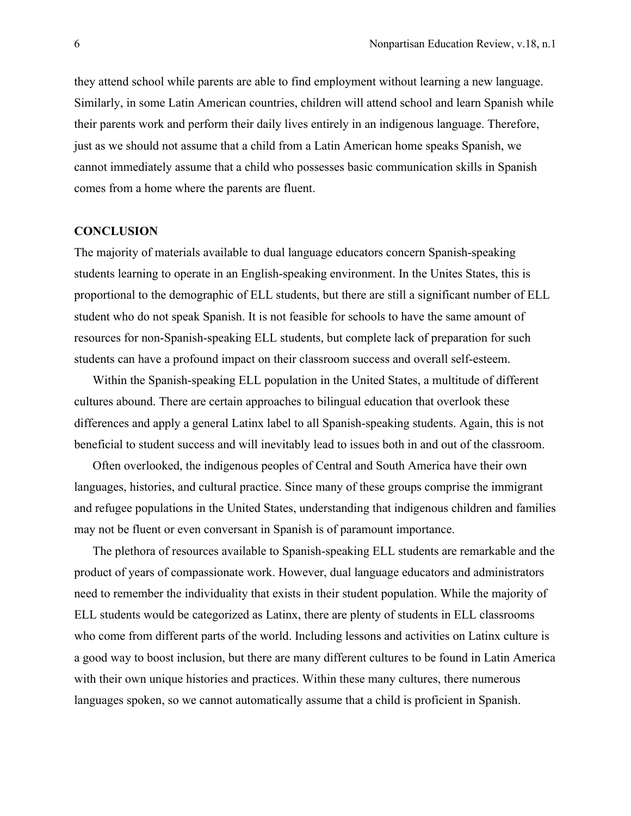they attend school while parents are able to find employment without learning a new language. Similarly, in some Latin American countries, children will attend school and learn Spanish while their parents work and perform their daily lives entirely in an indigenous language. Therefore, just as we should not assume that a child from a Latin American home speaks Spanish, we cannot immediately assume that a child who possesses basic communication skills in Spanish comes from a home where the parents are fluent.

#### **CONCLUSION**

The majority of materials available to dual language educators concern Spanish-speaking students learning to operate in an English-speaking environment. In the Unites States, this is proportional to the demographic of ELL students, but there are still a significant number of ELL student who do not speak Spanish. It is not feasible for schools to have the same amount of resources for non-Spanish-speaking ELL students, but complete lack of preparation for such students can have a profound impact on their classroom success and overall self-esteem.

Within the Spanish-speaking ELL population in the United States, a multitude of different cultures abound. There are certain approaches to bilingual education that overlook these differences and apply a general Latinx label to all Spanish-speaking students. Again, this is not beneficial to student success and will inevitably lead to issues both in and out of the classroom.

Often overlooked, the indigenous peoples of Central and South America have their own languages, histories, and cultural practice. Since many of these groups comprise the immigrant and refugee populations in the United States, understanding that indigenous children and families may not be fluent or even conversant in Spanish is of paramount importance.

The plethora of resources available to Spanish-speaking ELL students are remarkable and the product of years of compassionate work. However, dual language educators and administrators need to remember the individuality that exists in their student population. While the majority of ELL students would be categorized as Latinx, there are plenty of students in ELL classrooms who come from different parts of the world. Including lessons and activities on Latinx culture is a good way to boost inclusion, but there are many different cultures to be found in Latin America with their own unique histories and practices. Within these many cultures, there numerous languages spoken, so we cannot automatically assume that a child is proficient in Spanish.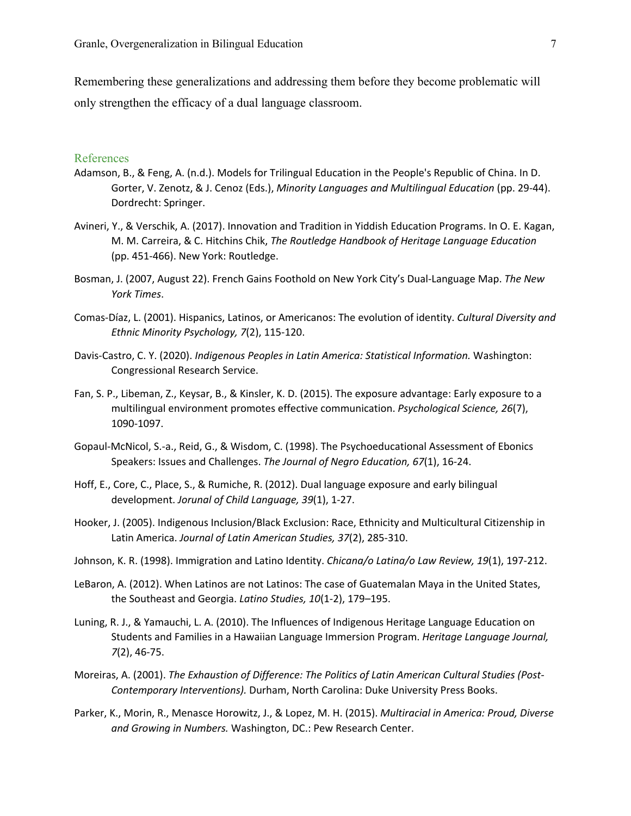Remembering these generalizations and addressing them before they become problematic will only strengthen the efficacy of a dual language classroom.

### References

- Adamson, B., & Feng, A. (n.d.). Models for Trilingual Education in the People's Republic of China. In D. Gorter, V. Zenotz, & J. Cenoz (Eds.), *Minority Languages and Multilingual Education* (pp. 29-44). Dordrecht: Springer.
- Avineri, Y., & Verschik, A. (2017). Innovation and Tradition in Yiddish Education Programs. In O. E. Kagan, M. M. Carreira, & C. Hitchins Chik, *The Routledge Handbook of Heritage Language Education* (pp. 451-466). New York: Routledge.
- Bosman, J. (2007, August 22). French Gains Foothold on New York City's Dual-Language Map. *The New York Times*.
- Comas-Díaz, L. (2001). Hispanics, Latinos, or Americanos: The evolution of identity. *Cultural Diversity and Ethnic Minority Psychology, 7*(2), 115-120.
- Davis-Castro, C. Y. (2020). *Indigenous Peoples in Latin America: Statistical Information.* Washington: Congressional Research Service.
- Fan, S. P., Libeman, Z., Keysar, B., & Kinsler, K. D. (2015). The exposure advantage: Early exposure to a multilingual environment promotes effective communication. *Psychological Science, 26*(7), 1090-1097.
- Gopaul-McNicol, S.-a., Reid, G., & Wisdom, C. (1998). The Psychoeducational Assessment of Ebonics Speakers: Issues and Challenges. *The Journal of Negro Education, 67*(1), 16-24.
- Hoff, E., Core, C., Place, S., & Rumiche, R. (2012). Dual language exposure and early bilingual development. *Jorunal of Child Language, 39*(1), 1-27.
- Hooker, J. (2005). Indigenous Inclusion/Black Exclusion: Race, Ethnicity and Multicultural Citizenship in Latin America. *Journal of Latin American Studies, 37*(2), 285-310.
- Johnson, K. R. (1998). Immigration and Latino Identity. *Chicana/o Latina/o Law Review, 19*(1), 197-212.
- LeBaron, A. (2012). When Latinos are not Latinos: The case of Guatemalan Maya in the United States, the Southeast and Georgia. *Latino Studies, 10*(1-2), 179–195.
- Luning, R. J., & Yamauchi, L. A. (2010). The Influences of Indigenous Heritage Language Education on Students and Families in a Hawaiian Language Immersion Program. *Heritage Language Journal, 7*(2), 46-75.
- Moreiras, A. (2001). *The Exhaustion of Difference: The Politics of Latin American Cultural Studies (Post-Contemporary Interventions).* Durham, North Carolina: Duke University Press Books.
- Parker, K., Morin, R., Menasce Horowitz, J., & Lopez, M. H. (2015). *Multiracial in America: Proud, Diverse and Growing in Numbers.* Washington, DC.: Pew Research Center.